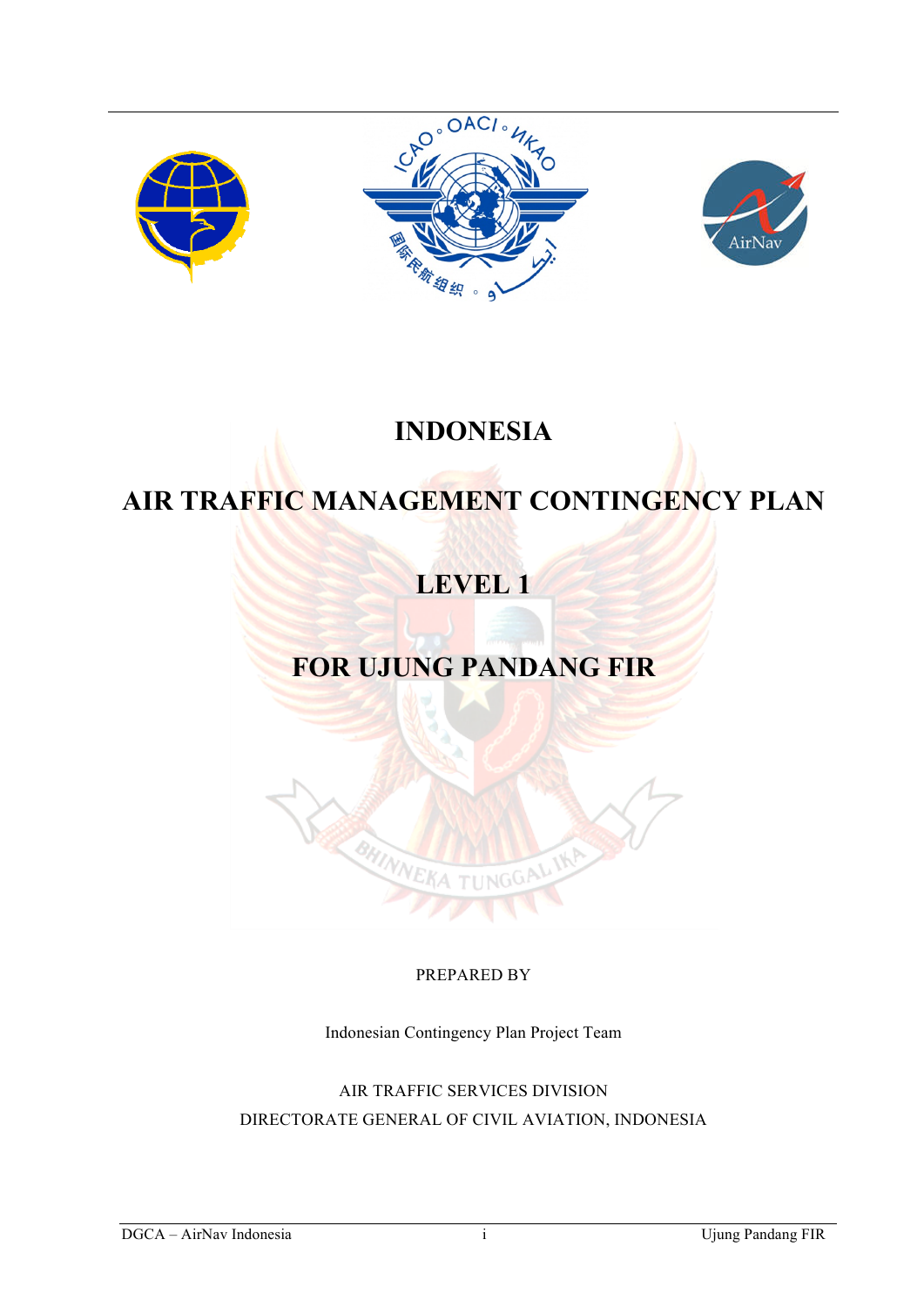





## **INDONESIA**

## **AIR TRAFFIC MANAGEMENT CONTINGENCY PLAN**

# **LEVEL 1**

# **FOR UJUNG PANDANG FIR**

## PREPARED BY

 $NGGF$ 

BHINNE

Indonesian Contingency Plan Project Team

AIR TRAFFIC SERVICES DIVISION DIRECTORATE GENERAL OF CIVIL AVIATION, INDONESIA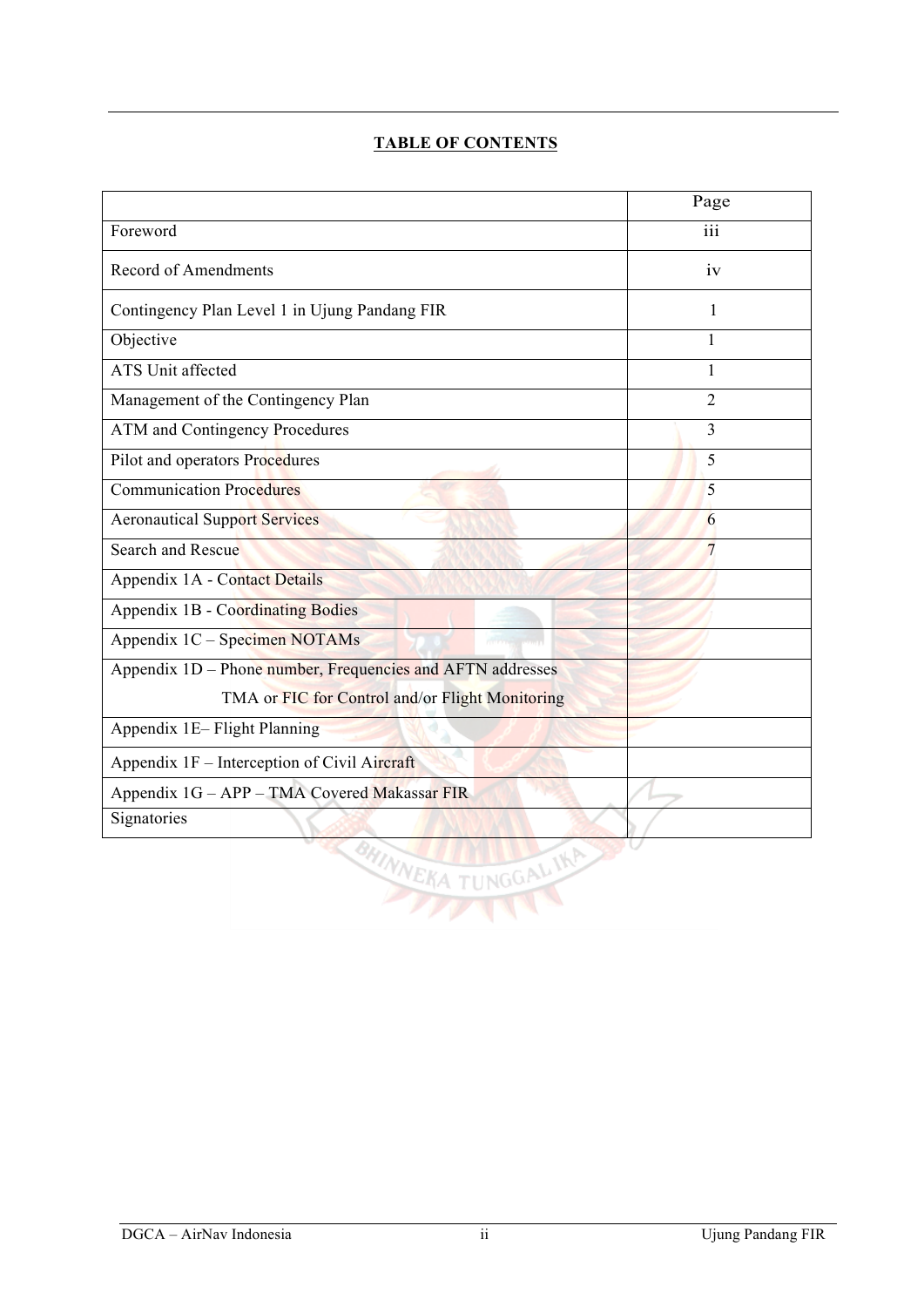## **TABLE OF CONTENTS**

|                                                            | Page             |  |  |
|------------------------------------------------------------|------------------|--|--|
| Foreword                                                   | $\overline{iii}$ |  |  |
| <b>Record of Amendments</b>                                | iv               |  |  |
| Contingency Plan Level 1 in Ujung Pandang FIR              | 1                |  |  |
| Objective                                                  | 1                |  |  |
| <b>ATS Unit affected</b>                                   | 1                |  |  |
| Management of the Contingency Plan                         | $\overline{2}$   |  |  |
| <b>ATM</b> and Contingency Procedures                      | 3                |  |  |
| Pilot and operators Procedures                             | 5                |  |  |
| <b>Communication Procedures</b>                            | 5                |  |  |
| <b>Aeronautical Support Services</b>                       | 6                |  |  |
| Search and Rescue                                          | $\overline{7}$   |  |  |
| Appendix 1A - Contact Details                              |                  |  |  |
| <b>Appendix 1B - Coordinating Bodies</b>                   |                  |  |  |
| Appendix 1C - Specimen NOTAMs                              |                  |  |  |
| Appendix 1D – Phone number, Frequencies and AFTN addresses |                  |  |  |
| TMA or FIC for Control and/or Flight Monitoring            |                  |  |  |
| Appendix 1E-Flight Planning                                |                  |  |  |
| Appendix 1F – Interception of Civil Aircraft               |                  |  |  |
| Appendix 1G - APP - TMA Covered Makassar FIR               |                  |  |  |
| Signatories                                                |                  |  |  |
| BHINNERA TUNGGALIKA                                        |                  |  |  |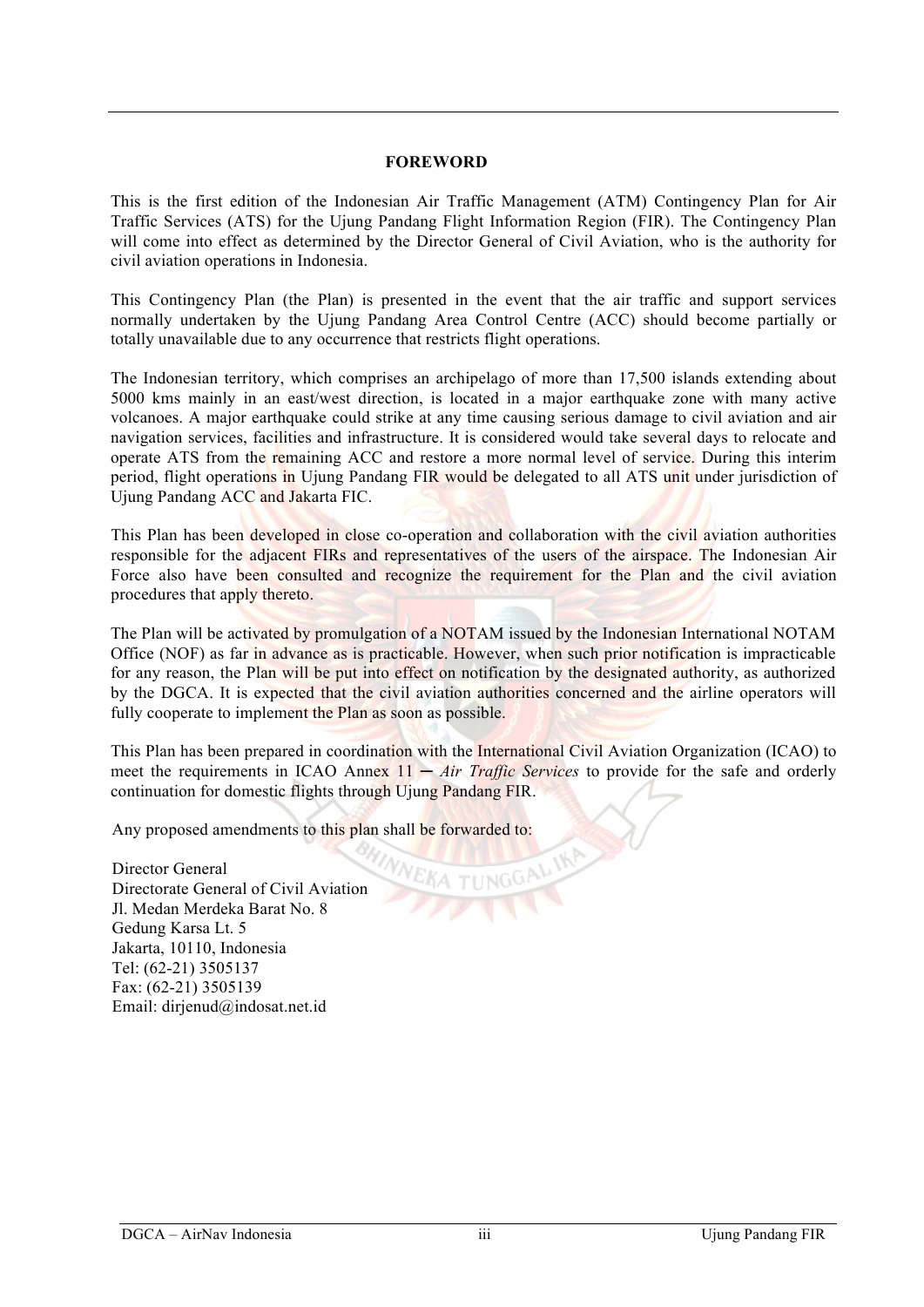#### **FOREWORD**

This is the first edition of the Indonesian Air Traffic Management (ATM) Contingency Plan for Air Traffic Services (ATS) for the Ujung Pandang Flight Information Region (FIR). The Contingency Plan will come into effect as determined by the Director General of Civil Aviation, who is the authority for civil aviation operations in Indonesia.

This Contingency Plan (the Plan) is presented in the event that the air traffic and support services normally undertaken by the Ujung Pandang Area Control Centre (ACC) should become partially or totally unavailable due to any occurrence that restricts flight operations.

The Indonesian territory, which comprises an archipelago of more than 17,500 islands extending about 5000 kms mainly in an east/west direction, is located in a major earthquake zone with many active volcanoes. A major earthquake could strike at any time causing serious damage to civil aviation and air navigation services, facilities and infrastructure. It is considered would take several days to relocate and operate ATS from the remaining ACC and restore a more normal level of service. During this interim period, flight operations in Ujung Pandang FIR would be delegated to all ATS unit under jurisdiction of Ujung Pandang ACC and Jakarta FIC.

This Plan has been developed in close co-operation and collaboration with the civil aviation authorities responsible for the adjacent FIRs and representatives of the users of the airspace. The Indonesian Air Force also have been consulted and recognize the requirement for the Plan and the civil aviation procedures that apply thereto.

The Plan will be activated by promulgation of a NOTAM issued by the Indonesian International NOTAM Office (NOF) as far in advance as is practicable. However, when such prior notification is impracticable for any reason, the Plan will be put into effect on notification by the designated authority, as authorized by the DGCA. It is expected that the civil aviation authorities concerned and the airline operators will fully cooperate to implement the Plan as soon as possible.

This Plan has been prepared in coordination with the International Civil Aviation Organization (ICAO) to meet the requirements in ICAO Annex  $11 - Air$  *Traffic Services* to provide for the safe and orderly continuation for domestic flights through Ujung Pandang FIR.

Any proposed amendments to this plan shall be forwarded to:

Director General Directorate General of Civil Aviation Jl. Medan Merdeka Barat No. 8 Gedung Karsa Lt. 5 Jakarta, 10110, Indonesia Tel: (62-21) 3505137 Fax: (62-21) 3505139 Email: dirjenud@indosat.net.id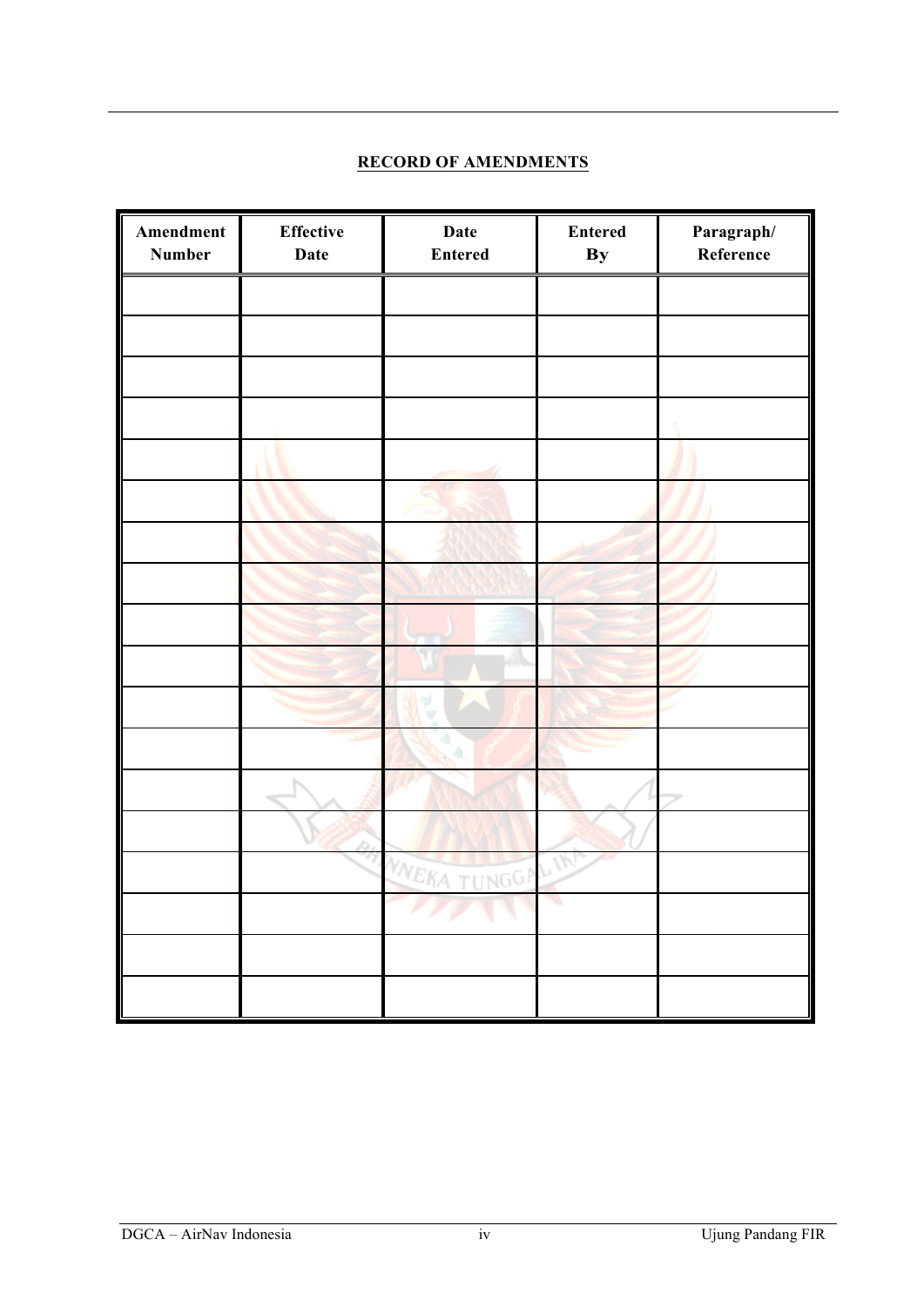## **RECORD OF AMENDMENTS**

| Amendment<br><b>Number</b> | <b>Effective</b><br>Date | Date<br><b>Entered</b> | <b>Entered</b><br>$\mathbf{By}$ | Paragraph/<br>Reference |
|----------------------------|--------------------------|------------------------|---------------------------------|-------------------------|
|                            |                          |                        |                                 |                         |
|                            |                          |                        |                                 |                         |
|                            |                          |                        |                                 |                         |
|                            |                          |                        |                                 |                         |
|                            |                          |                        |                                 |                         |
|                            |                          |                        |                                 |                         |
|                            |                          |                        |                                 |                         |
|                            |                          |                        |                                 |                         |
|                            |                          |                        |                                 |                         |
|                            |                          |                        |                                 |                         |
|                            |                          |                        |                                 |                         |
|                            |                          |                        |                                 |                         |
|                            |                          |                        |                                 |                         |
|                            |                          |                        |                                 |                         |
|                            |                          | WNEKA TUNGGA           |                                 |                         |
|                            |                          | سمار سما<br>Ч<br>N     |                                 |                         |
|                            |                          |                        |                                 |                         |
|                            |                          |                        |                                 |                         |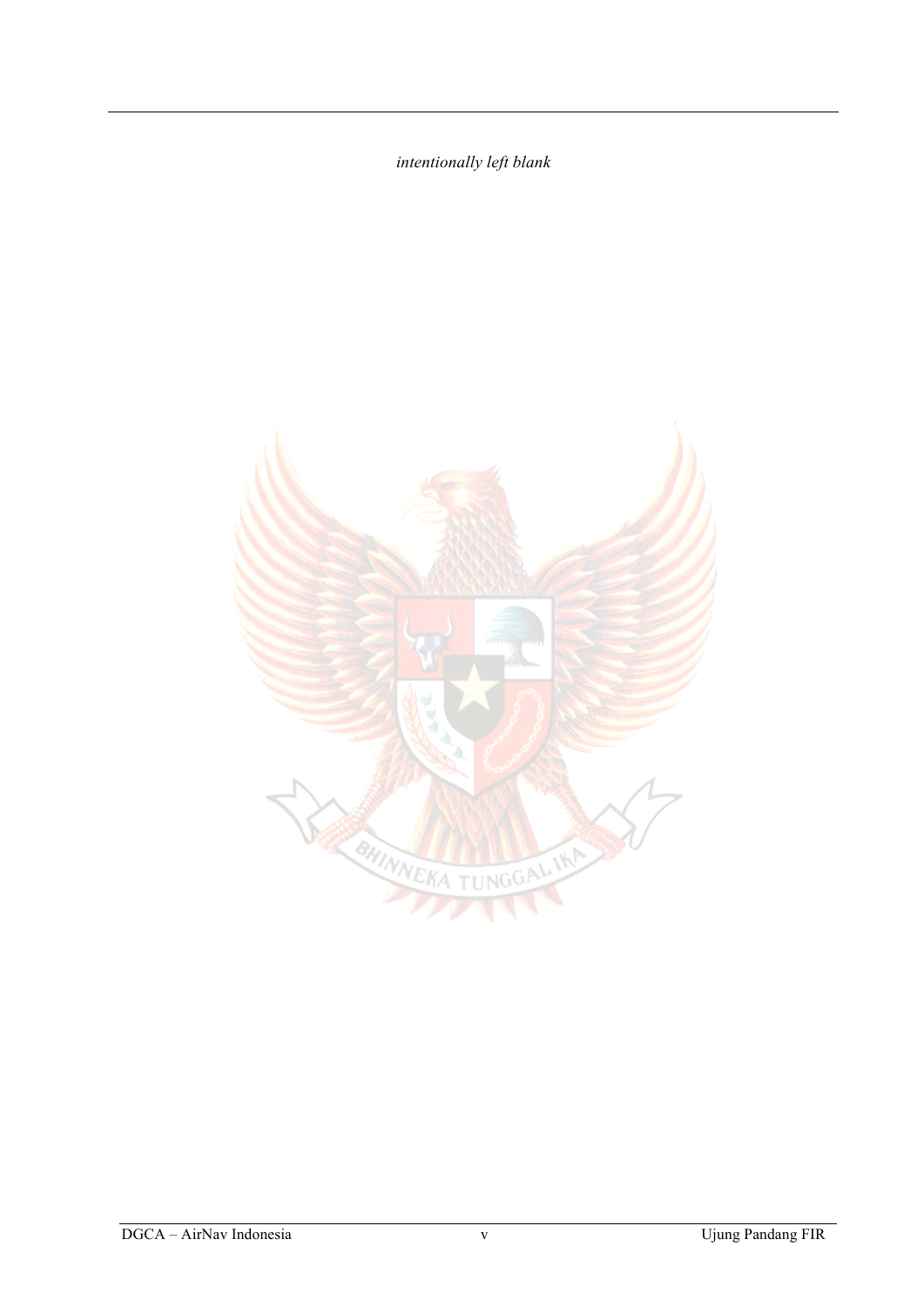*intentionally left blank*

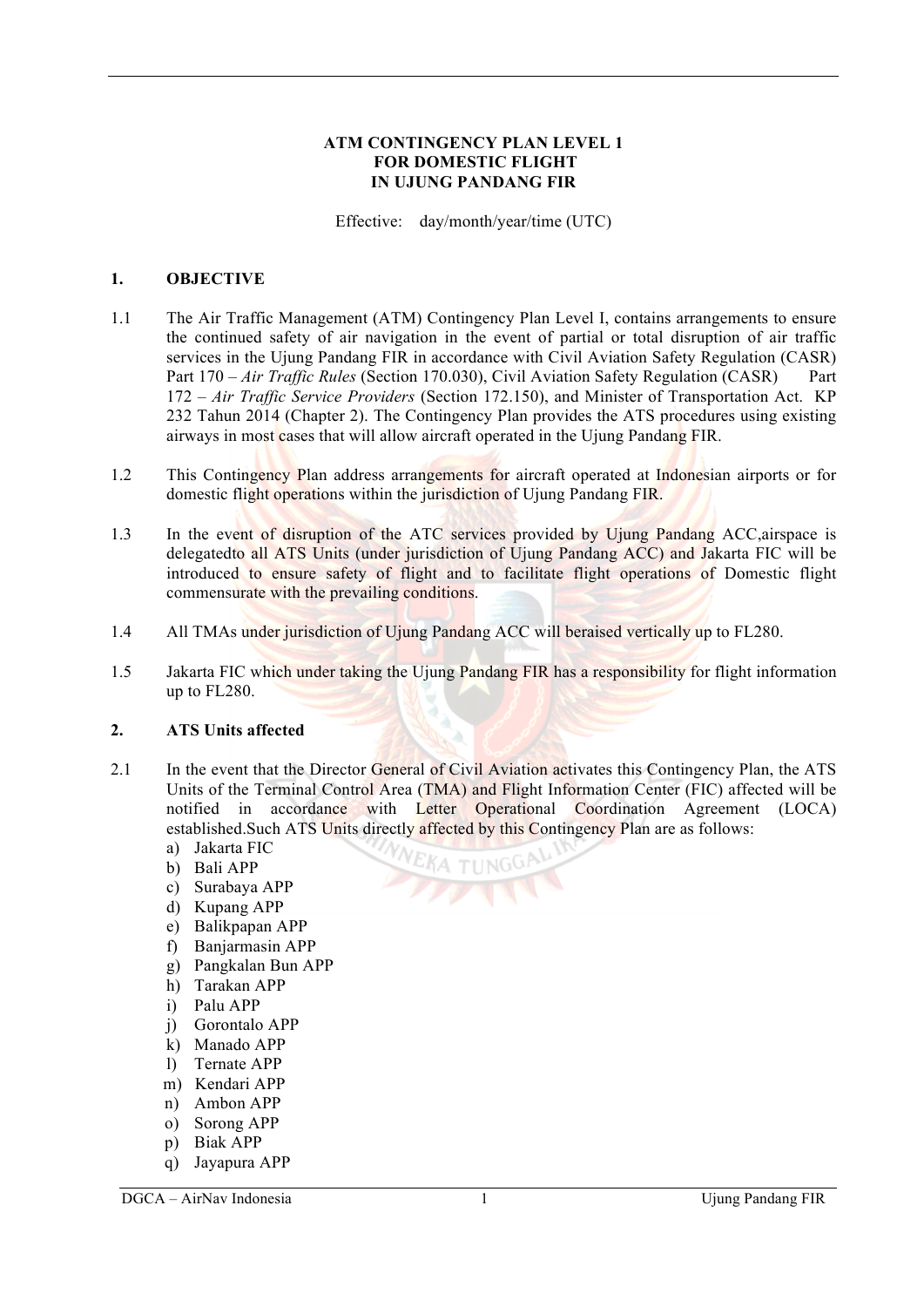#### **ATM CONTINGENCY PLAN LEVEL 1 FOR DOMESTIC FLIGHT IN UJUNG PANDANG FIR**

Effective: day/month/year/time (UTC)

#### **1. OBJECTIVE**

- 1.1 The Air Traffic Management (ATM) Contingency Plan Level I, contains arrangements to ensure the continued safety of air navigation in the event of partial or total disruption of air traffic services in the Ujung Pandang FIR in accordance with Civil Aviation Safety Regulation (CASR) Part 170 – *Air Traffic Rules* (Section 170.030), Civil Aviation Safety Regulation (CASR) Part 172 – *Air Traffic Service Providers* (Section 172.150), and Minister of Transportation Act. KP 232 Tahun 2014 (Chapter 2). The Contingency Plan provides the ATS procedures using existing airways in most cases that will allow aircraft operated in the Ujung Pandang FIR.
- 1.2 This Contingency Plan address arrangements for aircraft operated at Indonesian airports or for domestic flight operations within the jurisdiction of Ujung Pandang FIR.
- 1.3 In the event of disruption of the ATC services provided by Ujung Pandang ACC, airspace is delegatedto all ATS Units (under jurisdiction of Ujung Pandang ACC) and Jakarta FIC will be introduced to ensure safety of flight and to facilitate flight operations of Domestic flight commensurate with the prevailing conditions.
- 1.4 All TMAs under jurisdiction of Ujung Pandang ACC will beraised vertically up to FL280.
- 1.5 Jakarta FIC which under taking the Ujung Pandang FIR has a responsibility for flight information up to FL280.

#### **2. ATS Units affected**

- 2.1 In the event that the Director General of Civil Aviation activates this Contingency Plan, the ATS Units of the Terminal Control Area (TMA) and Flight Information Center (FIC) affected will be notified in accordance with Letter Operational Coordination Agreement (LOCA) established. Such ATS Units directly affected by this Contingency Plan are as follows:
	- a) Jakarta FIC
	- b) Bali APP
	- c) Surabaya APP
	- d) Kupang APP
	- e) Balikpapan APP
	- f) Banjarmasin APP
	- g) Pangkalan Bun APP
	- h) Tarakan APP
	- i) Palu APP
	- j) Gorontalo APP
	- k) Manado APP
	- l) Ternate APP
	- m) Kendari APP
	- n) Ambon APP
	- o) Sorong APP
	- p) Biak APP
	- q) Jayapura APP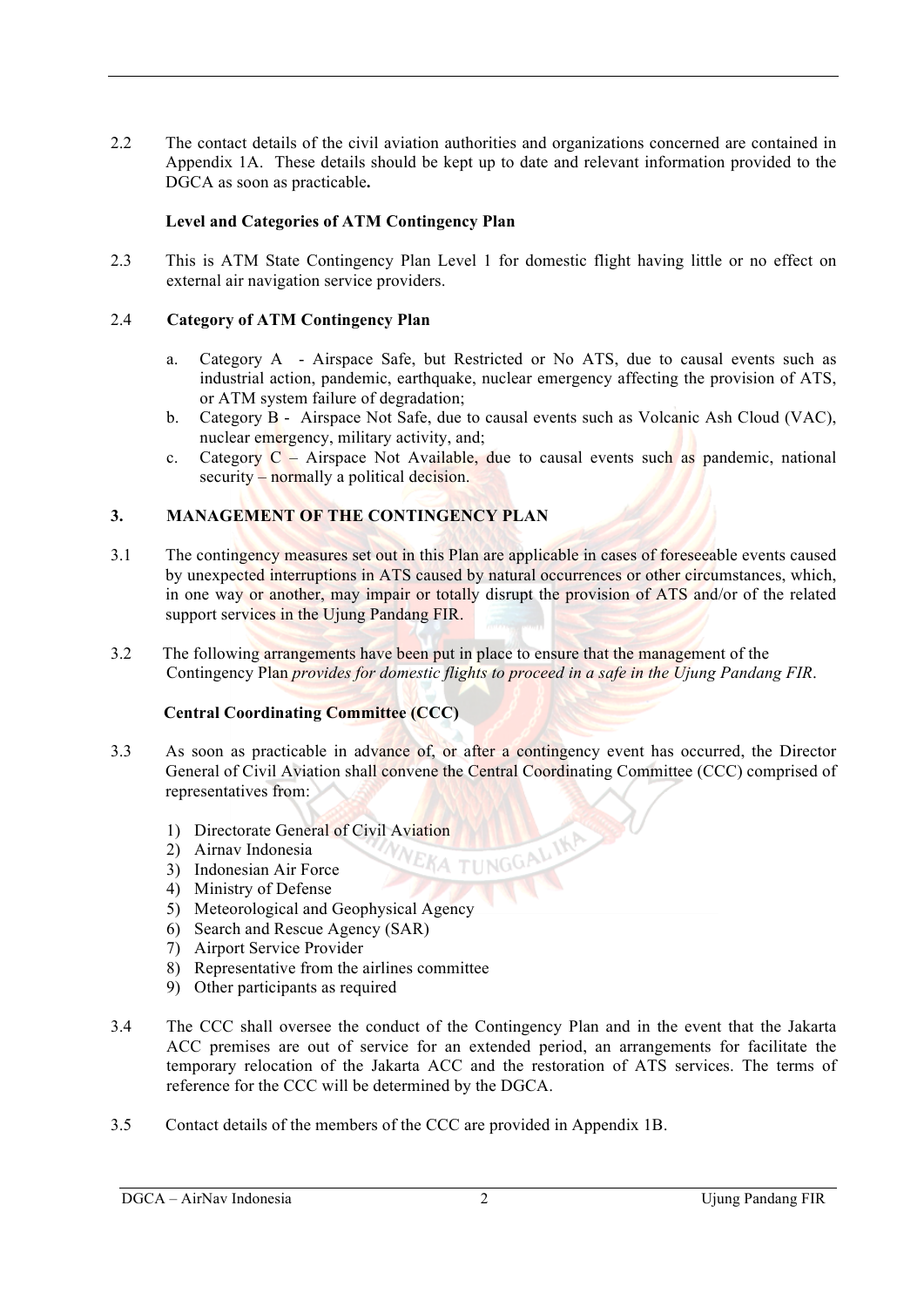2.2 The contact details of the civil aviation authorities and organizations concerned are contained in Appendix 1A.These details should be kept up to date and relevant information provided to the DGCA as soon as practicable**.**

#### **Level and Categories of ATM Contingency Plan**

2.3 This is ATM State Contingency Plan Level 1 for domestic flight having little or no effect on external air navigation service providers.

#### 2.4 **Category of ATM Contingency Plan**

- a. Category A Airspace Safe, but Restricted or No ATS, due to causal events such as industrial action, pandemic, earthquake, nuclear emergency affecting the provision of ATS, or ATM system failure of degradation;
- b. Category B Airspace Not Safe, due to causal events such as Volcanic Ash Cloud (VAC), nuclear emergency, military activity, and;
- c. Category  $C -$  Airspace Not Available, due to causal events such as pandemic, national security – normally a political decision.

#### **3. MANAGEMENT OF THE CONTINGENCY PLAN**

- 3.1 The contingency measures set out in this Plan are applicable in cases of foreseeable events caused by unexpected interruptions in ATS caused by natural occurrences or other circumstances, which, in one way or another, may impair or totally disrupt the provision of ATS and/or of the related support services in the Ujung Pandang FIR.
- 3.2 The following arrangements have been put in place to ensure that the management of the Contingency Plan *provides for domestic flights to proceed in a safe in the Ujung Pandang FIR*.

#### **Central Coordinating Committee (CCC)**

3.3 As soon as practicable in advance of, or after a contingency event has occurred, the Director General of Civil Aviation shall convene the Central Coordinating Committee (CCC) comprised of representatives from:

KA THNG<sup>(</sup>

- 1) Directorate General of Civil Aviation
- 2) Airnav Indonesia
- 3) Indonesian Air Force
- 4) Ministry of Defense
- 5) Meteorological and Geophysical Agency
- 6) Search and Rescue Agency (SAR)
- 7) Airport Service Provider
- 8) Representative from the airlines committee
- 9) Other participants as required
- 3.4 The CCC shall oversee the conduct of the Contingency Plan and in the event that the Jakarta ACC premises are out of service for an extended period, an arrangements for facilitate the temporary relocation of the Jakarta ACC and the restoration of ATS services. The terms of reference for the CCC will be determined by the DGCA.
- 3.5 Contact details of the members of the CCC are provided in Appendix 1B.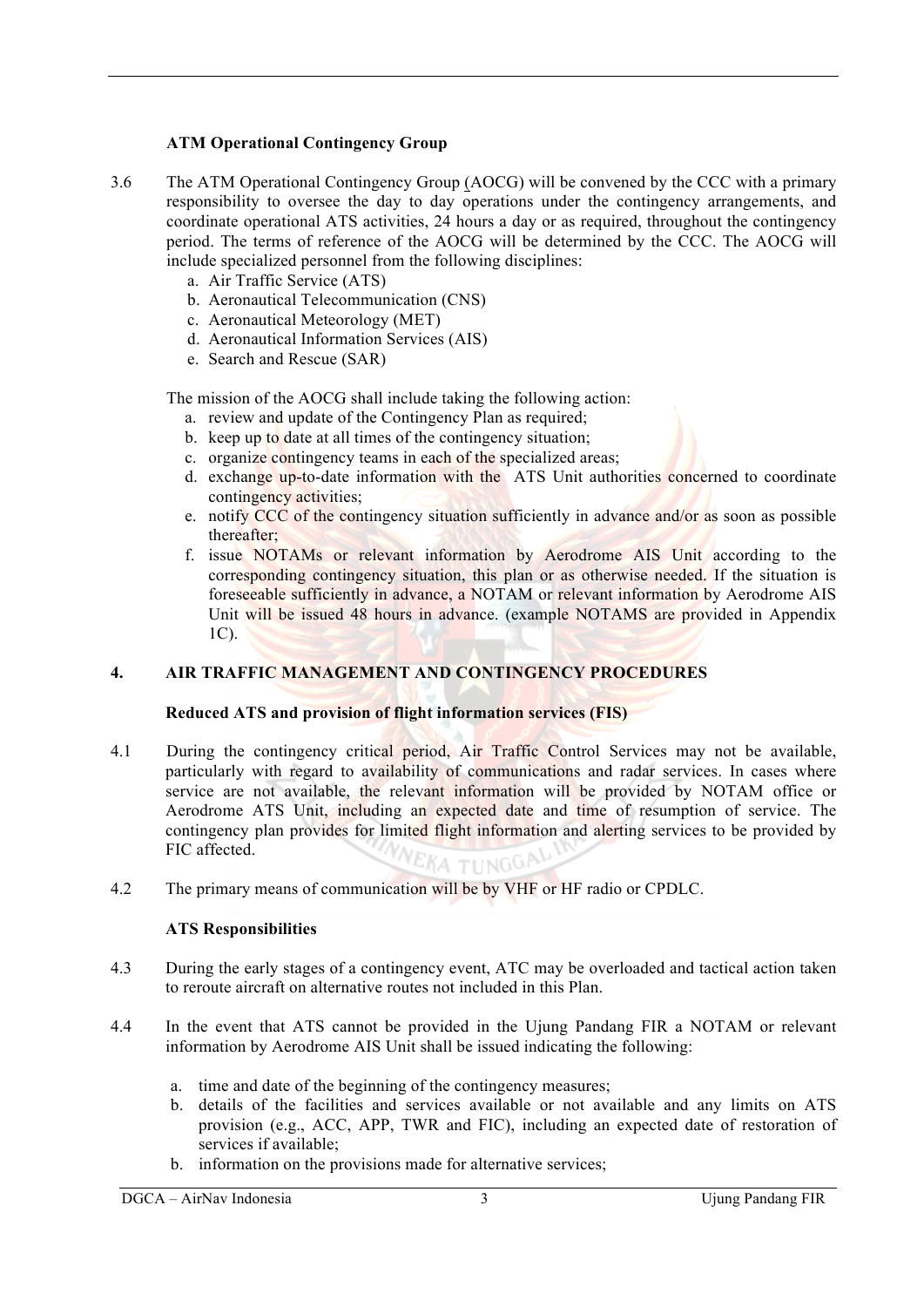### **ATM Operational Contingency Group**

- 3.6 The ATM Operational Contingency Group (AOCG) will be convened by the CCC with a primary responsibility to oversee the day to day operations under the contingency arrangements, and coordinate operational ATS activities, 24 hours a day or as required, throughout the contingency period. The terms of reference of the AOCG will be determined by the CCC. The AOCG will include specialized personnel from the following disciplines:
	- a. Air Traffic Service (ATS)
	- b. Aeronautical Telecommunication (CNS)
	- c. Aeronautical Meteorology (MET)
	- d. Aeronautical Information Services (AIS)
	- e. Search and Rescue (SAR)

The mission of the AOCG shall include taking the following action:

- a. review and update of the Contingency Plan as required;
- b. keep up to date at all times of the contingency situation;
- c. organize contingency teams in each of the specialized areas;
- d. exchange up-to-date information with the ATS Unit authorities concerned to coordinate contingency activities;
- e. notify CCC of the contingency situation sufficiently in advance and/or as soon as possible thereafter;
- f. issue NOTAMs or relevant information by Aerodrome AIS Unit according to the corresponding contingency situation, this plan or as otherwise needed. If the situation is foreseeable sufficiently in advance, a NOTAM or relevant information by Aerodrome AIS Unit will be issued 48 hours in advance. (example NOTAMS are provided in Appendix 1C).

## **4. AIR TRAFFIC MANAGEMENT AND CONTINGENCY PROCEDURES**

#### **Reduced ATS and provision of flight information services (FIS)**

- 4.1 During the contingency critical period, Air Traffic Control Services may not be available, particularly with regard to availability of communications and radar services. In cases where service are not available, the relevant information will be provided by NOTAM office or Aerodrome ATS Unit, including an expected date and time of resumption of service. The contingency plan provides for limited flight information and alerting services to be provided by FIC affected. VEKA TUNGO
- 4.2 The primary means of communication will be by VHF or HF radio or CPDLC.

#### **ATS Responsibilities**

- 4.3 During the early stages of a contingency event, ATC may be overloaded and tactical action taken to reroute aircraft on alternative routes not included in this Plan.
- 4.4 In the event that ATS cannot be provided in the Ujung Pandang FIR a NOTAM or relevant information by Aerodrome AIS Unit shall be issued indicating the following:
	- a. time and date of the beginning of the contingency measures;
	- b. details of the facilities and services available or not available and any limits on ATS provision (e.g., ACC, APP, TWR and FIC), including an expected date of restoration of services if available;
	- b. information on the provisions made for alternative services;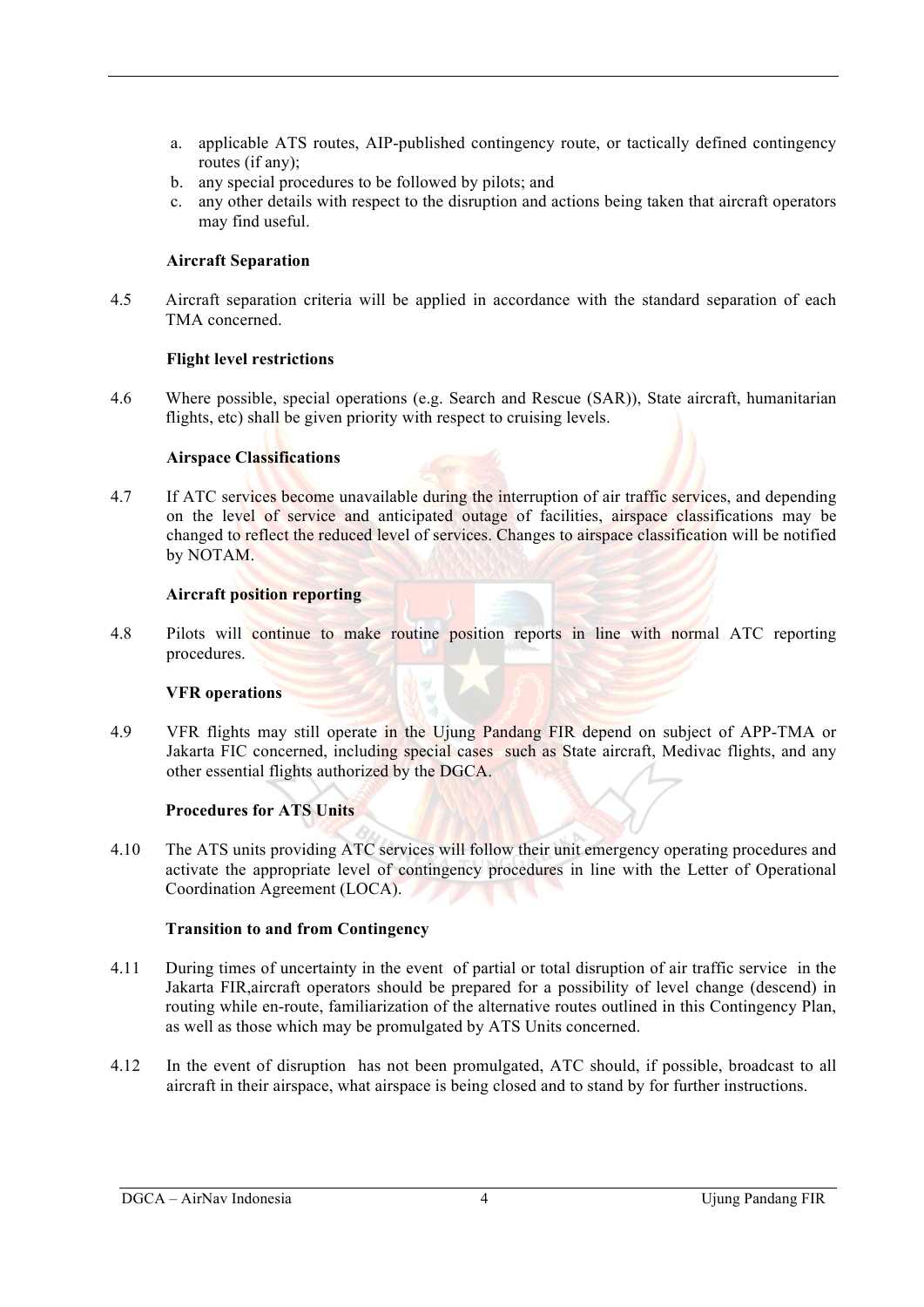- a. applicable ATS routes, AIP-published contingency route, or tactically defined contingency routes (if any);
- b. any special procedures to be followed by pilots; and
- c. any other details with respect to the disruption and actions being taken that aircraft operators may find useful.

#### **Aircraft Separation**

4.5 Aircraft separation criteria will be applied in accordance with the standard separation of each TMA concerned.

#### **Flight level restrictions**

4.6 Where possible, special operations (e.g. Search and Rescue (SAR)), State aircraft, humanitarian flights, etc) shall be given priority with respect to cruising levels.

#### **Airspace Classifications**

4.7 If ATC services become unavailable during the interruption of air traffic services, and depending on the level of service and anticipated outage of facilities, airspace classifications may be changed to reflect the reduced level of services. Changes to airspace classification will be notified by NOTAM.

#### **Aircraft position reporting**

4.8 Pilots will continue to make routine position reports in line with normal ATC reporting procedures.

#### **VFR operations**

4.9 VFR flights may still operate in the Ujung Pandang FIR depend on subject of APP-TMA or Jakarta FIC concerned, including special cases such as State aircraft, Medivac flights, and any other essential flights authorized by the DGCA.

## **Procedures for ATS Units**

4.10 The ATS units providing ATC services will follow their unit emergency operating procedures and activate the appropriate level of contingency procedures in line with the Letter of Operational Coordination Agreement (LOCA).

#### **Transition to and from Contingency**

- 4.11 During times of uncertainty in the event of partial or total disruption of air traffic service in the Jakarta FIR,aircraft operators should be prepared for a possibility of level change (descend) in routing while en-route, familiarization of the alternative routes outlined in this Contingency Plan, as well as those which may be promulgated by ATS Units concerned.
- 4.12 In the event of disruption has not been promulgated, ATC should, if possible, broadcast to all aircraft in their airspace, what airspace is being closed and to stand by for further instructions.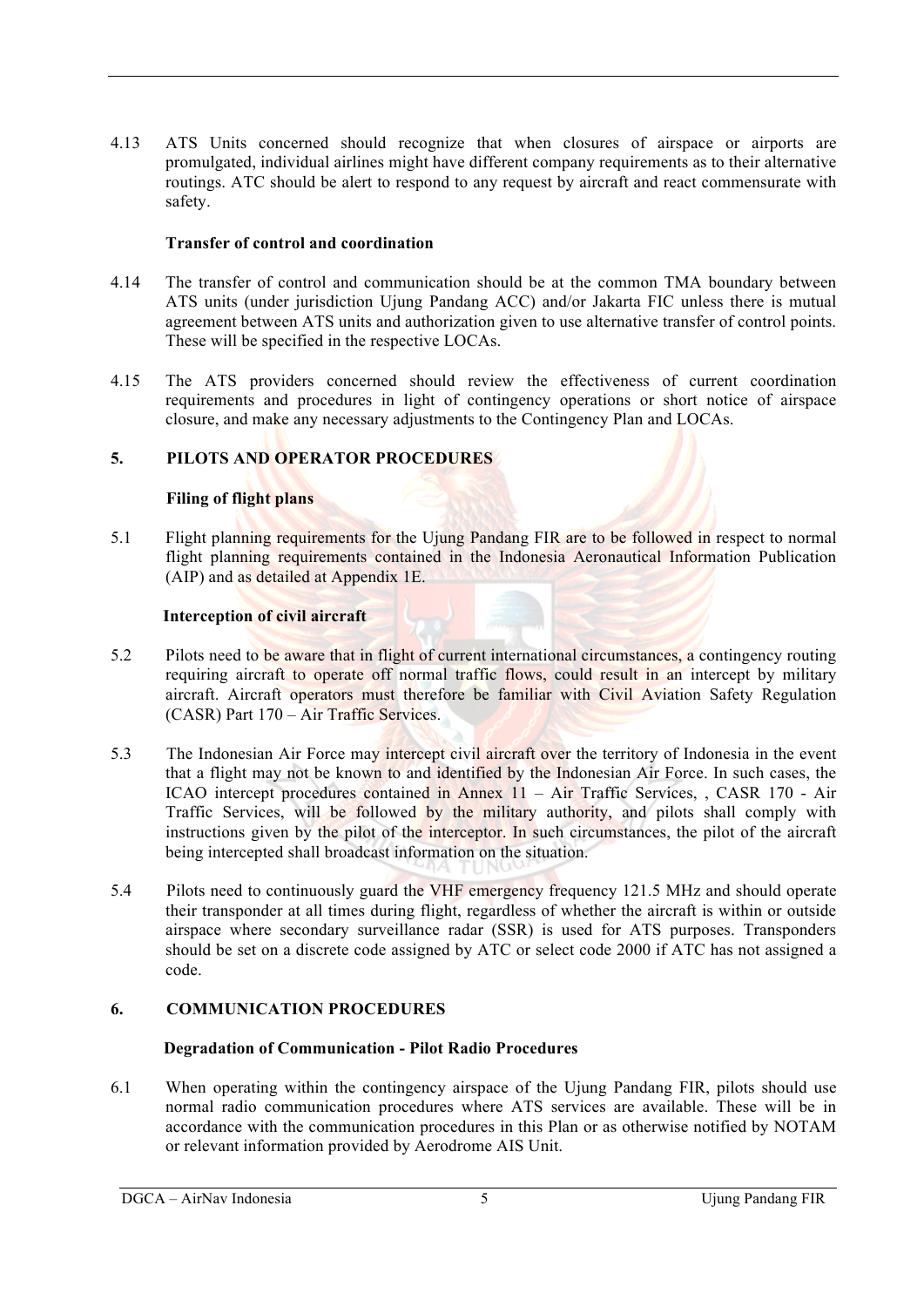4.13 ATS Units concerned should recognize that when closures of airspace or airports are promulgated, individual airlines might have different company requirements as to their alternative routings. ATC should be alert to respond to any request by aircraft and react commensurate with safety.

#### **Transfer of control and coordination**

- 4.14 The transfer of control and communication should be at the common TMA boundary between ATS units (under jurisdiction Ujung Pandang ACC) and/or Jakarta FIC unless there is mutual agreement between ATS units and authorization given to use alternative transfer of control points. These will be specified in the respective LOCAs.
- 4.15 The ATS providers concerned should review the effectiveness of current coordination requirements and procedures in light of contingency operations or short notice of airspace closure, and make any necessary adjustments to the Contingency Plan and LOCAs.

## **5. PILOTS AND OPERATOR PROCEDURES**

#### **Filing of flight plans**

5.1 Flight planning requirements for the Ujung Pandang FIR are to be followed in respect to normal flight planning requirements contained in the Indonesia Aeronautical Information Publication (AIP) and as detailed at Appendix 1E.

#### **Interception of civil aircraft**

- 5.2 Pilots need to be aware that in flight of current international circumstances, a contingency routing requiring aircraft to operate off normal traffic flows, could result in an intercept by military aircraft. Aircraft operators must therefore be familiar with Civil Aviation Safety Regulation (CASR) Part 170 – Air Traffic Services.
- 5.3 The Indonesian Air Force may intercept civil aircraft over the territory of Indonesia in the event that a flight may not be known to and identified by the Indonesian Air Force. In such cases, the ICAO intercept procedures contained in Annex 11 – Air Traffic Services, , CASR 170 - Air Traffic Services, will be followed by the military authority, and pilots shall comply with instructions given by the pilot of the interceptor. In such circumstances, the pilot of the aircraft being intercepted shall broadcast information on the situation.
- 5.4 Pilots need to continuously guard the VHF emergency frequency 121.5 MHz and should operate their transponder at all times during flight, regardless of whether the aircraft is within or outside airspace where secondary surveillance radar (SSR) is used for ATS purposes. Transponders should be set on a discrete code assigned by ATC or select code 2000 if ATC has not assigned a code.

## **6. COMMUNICATION PROCEDURES**

#### **Degradation of Communication - Pilot Radio Procedures**

6.1 When operating within the contingency airspace of the Ujung Pandang FIR, pilots should use normal radio communication procedures where ATS services are available. These will be in accordance with the communication procedures in this Plan or as otherwise notified by NOTAM or relevant information provided by Aerodrome AIS Unit.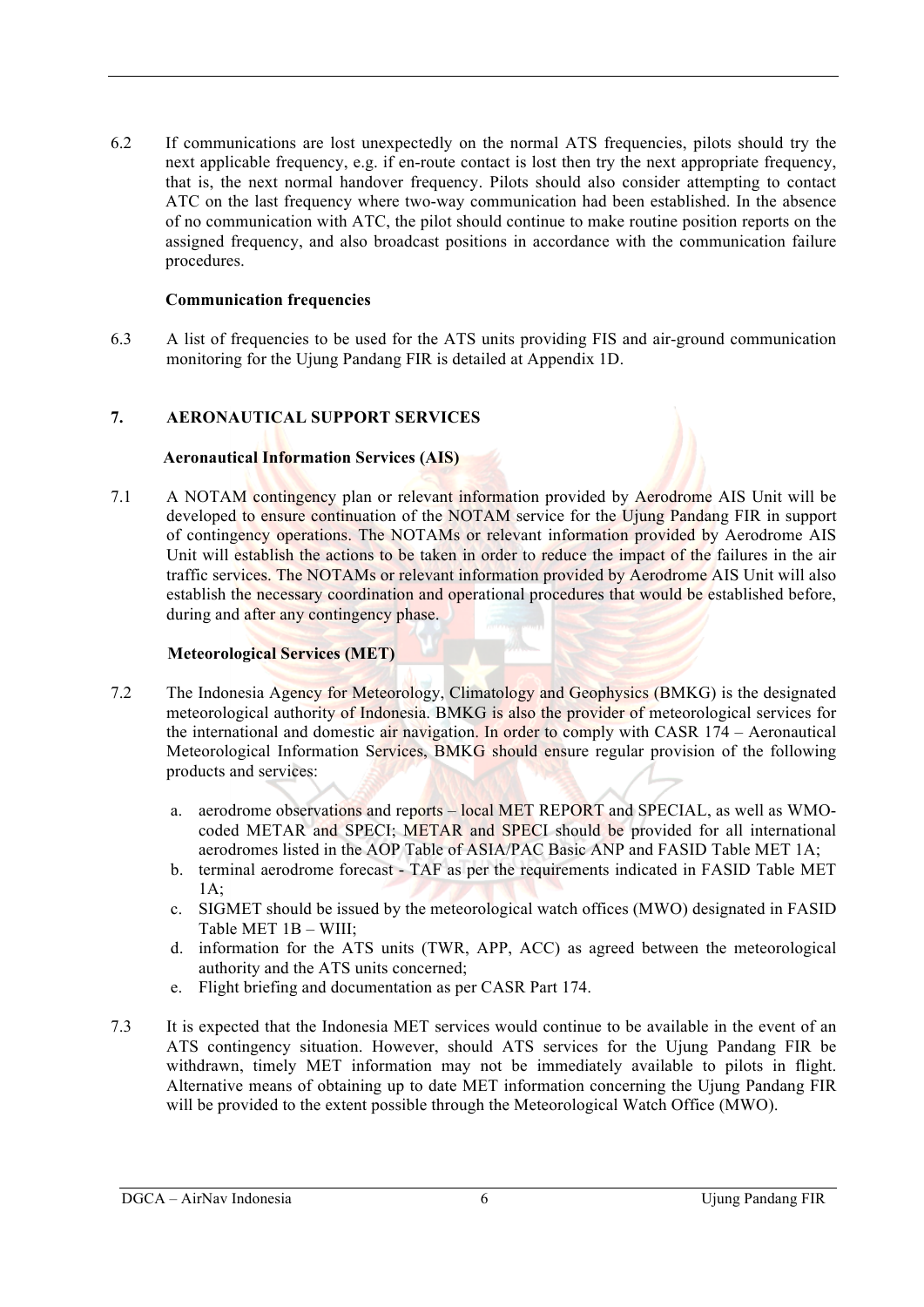6.2 If communications are lost unexpectedly on the normal ATS frequencies, pilots should try the next applicable frequency, e.g. if en-route contact is lost then try the next appropriate frequency, that is, the next normal handover frequency. Pilots should also consider attempting to contact ATC on the last frequency where two-way communication had been established. In the absence of no communication with ATC, the pilot should continue to make routine position reports on the assigned frequency, and also broadcast positions in accordance with the communication failure procedures.

#### **Communication frequencies**

6.3 A list of frequencies to be used for the ATS units providing FIS and air-ground communication monitoring for the Ujung Pandang FIR is detailed at Appendix 1D.

#### **7. AERONAUTICAL SUPPORT SERVICES**

#### **Aeronautical Information Services (AIS)**

7.1 A NOTAM contingency plan or relevant information provided by Aerodrome AIS Unit will be developed to ensure continuation of the NOTAM service for the Ujung Pandang FIR in support of contingency operations. The NOTAMs or relevant information provided by Aerodrome AIS Unit will establish the actions to be taken in order to reduce the impact of the failures in the air traffic services. The NOTAMs or relevant information provided by Aerodrome AIS Unit will also establish the necessary coordination and operational procedures that would be established before, during and after any contingency phase.

#### **Meteorological Services (MET)**

- 7.2 The Indonesia Agency for Meteorology, Climatology and Geophysics (BMKG) is the designated meteorological authority of Indonesia. BMKG is also the provider of meteorological services for the international and domestic air navigation. In order to comply with CASR 174 – Aeronautical Meteorological Information Services, BMKG should ensure regular provision of the following products and services:
	- a. aerodrome observations and reports local MET REPORT and SPECIAL, as well as WMOcoded METAR and SPECI; METAR and SPECI should be provided for all international aerodromes listed in the AOP Table of ASIA/PAC Basic ANP and FASID Table MET 1A;
	- b. terminal aerodrome forecast TAF as per the requirements indicated in FASID Table MET  $1A$ :
	- c. SIGMET should be issued by the meteorological watch offices (MWO) designated in FASID Table MET 1B – WIII;
	- d. information for the ATS units (TWR, APP, ACC) as agreed between the meteorological authority and the ATS units concerned;
	- e. Flight briefing and documentation as per CASR Part 174.
- 7.3 It is expected that the Indonesia MET services would continue to be available in the event of an ATS contingency situation. However, should ATS services for the Ujung Pandang FIR be withdrawn, timely MET information may not be immediately available to pilots in flight. Alternative means of obtaining up to date MET information concerning the Ujung Pandang FIR will be provided to the extent possible through the Meteorological Watch Office (MWO).